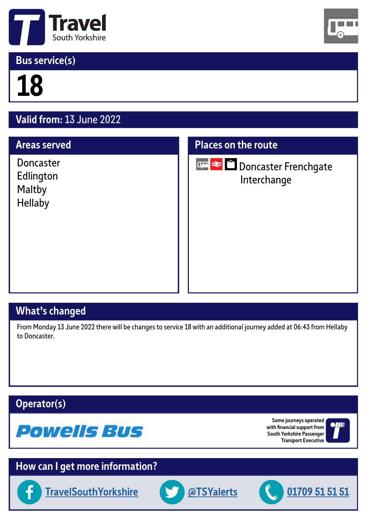

## **Bus service(s)**



# **18**

# **Valid from:** 13 June 2022

#### **Areas served**

Doncaster Edlington Maltby Hellaby

#### **Places on the route**



**Doncaster Frenchgate** Interchange

## **What's changed**

From Monday 13 June 2022 there will be changes to service 18 with an additional journey added at 06:43 from Hellaby to Doncaster.

### **Operator(s)**



**Some journeys operated with financial support from South Yorkshire Passenger Transport Executive**



## **How can I get more information?**